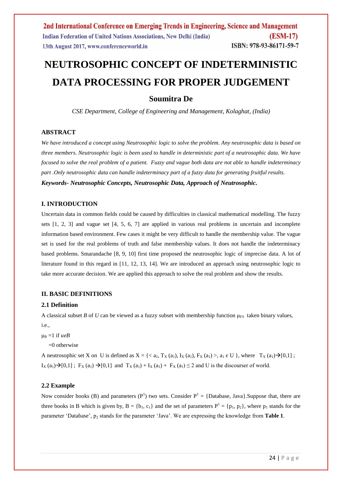# **NEUTROSOPHIC CONCEPT OF INDETERMINISTIC DATA PROCESSING FOR PROPER JUDGEMENT**

# **Soumitra De**

*CSE Department, College of Engineering and Management, Kolaghat, (India)*

## **ABSTRACT**

*We have introduced a concept using Neutrosophic logic to solve the problem. Any neutrosophic data is based on three members. Neutrosophic logic is been used to handle in deterministic part of a neutrosophic data. We have focused to solve the real problem of a patient. Fuzzy and vague both data are not able to handle indeterminacy part .Only neutrosophic data can handle indeterminacy part of a fuzzy data for generating fruitful results. Keywords- Neutrosophic Concepts, Neutrosophic Data, Approach of Neutrosophic.*

## **I. INTRODUCTION**

Uncertain data in common fields could be caused by difficulties in classical mathematical modelling. The fuzzy sets [1, 2, 3] and vague set [4, 5, 6, 7] are applied in various real problems in uncertain and incomplete information based environment. Few cases it might be very difficult to handle the membership value. The vague set is used for the real problems of truth and false membership values. It does not handle the indeterminacy based problems. Smarandache [8, 9, 10] first time proposed the neutrosophic logic of imprecise data. A lot of literature found in this regard in [11, 12, 13, 14]. We are introduced an approach using neutrosophic logic to take more accurate decision. We are applied this approach to solve the real problem and show the results.

## **II. BASIC DEFINITIONS**

## **2.1 Definition**

A classical subset *B* of *U* can be viewed as a fuzzy subset with membership function  $\mu_{FS}$  taken binary values, i.e.,

 $\mu_B = 1$  if  $u \in B$ 

 $=0$  otherwise

A neutrosophic set X on U is defined as  $X = \{ \langle a_1, T_X(a_1), I_X(a_1), F_X(a_1) \rangle, a_1 \in U \}$ , where  $T_X(a_1) \rightarrow [0,1]$ ;  $I_X(a_1) \rightarrow [0,1]$ ;  $F_X(a_1) \rightarrow [0,1]$  and  $T_X(a_1) + I_X(a_1) + F_X(a_1) \leq 2$  and U is the discourser of world.

## **2.2 Example**

Now consider books (B) and parameters ( $P<sup>1</sup>$ ) two sets. Consider  $P<sup>1</sup> =$  {Database, Java}. Suppose that, there are three books in B which is given by,  $B = \{b_1, c_1\}$  and the set of parameters  $P^1 = \{p_1, p_2\}$ , where  $p_1$  stands for the parameter 'Database',  $p_2$  stands for the parameter 'Java'. We are expressing the knowledge from **Table 1**.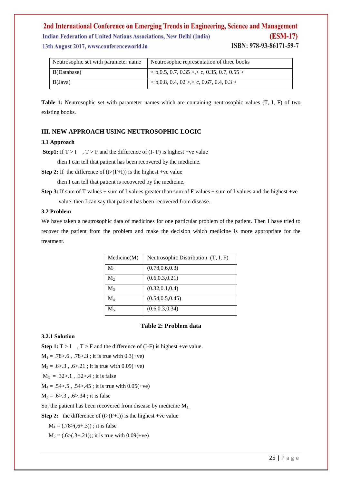#### 2nd International Conference on Emerging Trends in Engineering, Science and Management **Indian Federation of United Nations Associations, New Delhi (India) (ESM-17)** ISBN: 978-93-86171-59-7 13th August 2017, www.conferenceworld.in

| Neutrosophic set with parameter name | Neutrosophic representation of three books   |
|--------------------------------------|----------------------------------------------|
| B(Database)                          | $< b, 0.5, 0.7, 0.35 > c, 0.35, 0.7, 0.55 >$ |
| B(Java)                              | $0.8, 0.4, 02$ >, $0.67, 0.4, 0.3$           |

**Table 1:** Neutrosophic set with parameter names which are containing neutrosophic values (T, I, F) of two existing books.

## **III. NEW APPROACH USING NEUTROSOPHIC LOGIC**

## **3.1 Approach**

**Step1:** If  $T > I$ ,  $T > F$  and the difference of  $(I - F)$  is highest +ve value

then I can tell that patient has been recovered by the medicine.

**Step 2:** If the difference of  $(t>(F+I))$  is the highest +ve value

then I can tell that patient is recovered by the medicine.

**Step 3:** If sum of T values + sum of I values greater than sum of F values + sum of I values and the highest +ve value then I can say that patient has been recovered from disease.

#### **3.2 Problem**

We have taken a neutrosophic data of medicines for one particular problem of the patient. Then I have tried to recover the patient from the problem and make the decision which medicine is more appropriate for the treatment.

| Medicine(M)    | Neutrosophic Distribution $(T, I, F)$ |
|----------------|---------------------------------------|
| $M_1$          | (0.78, 0.6, 0.3)                      |
| $M_{2}$        | (0.6, 0.3, 0.21)                      |
| $M_3$          | (0.32, 0.1, 0.4)                      |
| $\mathbf{M}_4$ | (0.54, 0.5, 0.45)                     |
| $M_{5}$        | (0.6, 0.3, 0.34)                      |

#### **Table 2: Problem data**

#### **3.2.1 Solution**

**Step 1:**  $T > I$ ,  $T > F$  and the difference of (I-F) is highest +ve value.

 $M_1 = .78 > .6$ ,  $.78 > .3$ ; it is true with 0.3(+ve)

 $M_2 = .6 > .3$ ,  $.6 > .21$ ; it is true with  $0.09$ (+ve)

 $M_3 = .32 > .1$ ,  $.32 > .4$ ; it is false

 $M_4 = .54 > .5$ ,  $.54 > .45$ ; it is true with  $0.05$ (+ve)

 $M_5 = .6 > .3$ ,  $.6 > .34$ ; it is false

So, the patient has been recovered from disease by medicine  $M_1$ .

**Step 2:** the difference of  $(t>(F+I))$  is the highest +ve value

 $M_1 = (.78>(.6+.3))$ ; it is false

 $M_2 = (.6>(.3+.21))$ ; it is true with 0.09(+ve)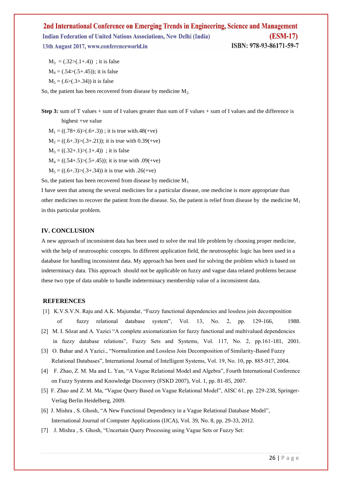2nd International Conference on Emerging Trends in Engineering, Science and Management **Indian Federation of United Nations Associations, New Delhi (India) (ESM-17)** ISBN: 978-93-86171-59-7 13th August 2017, www.conferenceworld.in

 $M_3 = (.32>(.1+.4))$ ; it is false  $M_4 = (.54>(.5+.45))$ ; it is false  $M_5 = (.6>(.3+.34))$  it is false

So, the patient has been recovered from disease by medicine  $M_2$ .

**Step 3:** sum of T values + sum of I values greater than sum of F values + sum of I values and the difference is

highest +ve value

- $M_1 = ((.78+.6) > (.6+.3))$ ; it is true with.48(+ve)
- $M_2 = ((0.6+0.3) \times (0.3+0.21))$ ; it is true with 0.39(+ve)
- $M_3 = ((.32 + .1) > (.1 + .4))$ ; it is false
- $M_4 = ((0.54 \div 0.5) \times (0.5 \div 0.45))$ ; it is true with  $.09$ (+ve)
- $M_5 = ((0.6+.3)>(0.3+.34))$  it is true with  $0.26$ (+ve)

So, the patient has been recovered from disease by medicine  $M_1$ .

I have seen that among the several medicines for a particular disease, one medicine is more appropriate than other medicines to recover the patient from the disease. So, the patient is relief from disease by the medicine  $M_1$ in this particular problem.

#### **IV. CONCLUSION**

A new approach of inconsistent data has been used to solve the real life problem by choosing proper medicine, with the help of neutrosophic concepts. In different application field, the neutrosophic logic has been used in a database for handling inconsistent data. My approach has been used for solving the problem which is based on indeterminacy data. This approach should not be applicable on fuzzy and vague data related problems because these two type of data unable to handle indeterminacy membership value of a inconsistent data.

#### **REFERENCES**

- [1] K.V.S.V.N. Raju and A.K. Majumdar, "Fuzzy functional dependencies and lossless join decomposition of fuzzy relational database system", Vol. 13, No. 2, pp. 129-166, 1988.
- [2] M. I. Sözat and A. Yazici "A complete axiomatization for fuzzy functional and multivalued dependencies in fuzzy database relations", Fuzzy Sets and Systems, Vol. 117, No. 2, pp.161-181, 2001.
- [3] O. Bahar and A Yazici., "Normalization and Lossless Join Decomposition of Similarity-Based Fuzzy Relational Databases", International Journal of Intelligent Systems, Vol. 19, No. 10, pp. 885-917, 2004.
- [4] F. Zhao, Z. M. Ma and L. Yan, "A Vague Relational Model and Algebra", Fourth International Conference on Fuzzy Systems and Knowledge Discovery (FSKD 2007), Vol. 1, pp. 81-85, 2007.
- [5] F. Zhao and Z. M. Ma, "Vague Query Based on Vague Relational Model", AISC 61, pp. 229-238, Springer- Verlag Berlin Heidelberg, 2009.
- [6] J. Mishra , S. Ghosh, "A New Functional Dependency in a Vague Relational Database Model", International Journal of Computer Applications (IJCA), Vol. 39, No. 8, pp. 29-33, 2012.
- [7] J. Mishra , S. Ghosh, "Uncertain Query Processing using Vague Sets or Fuzzy Set: